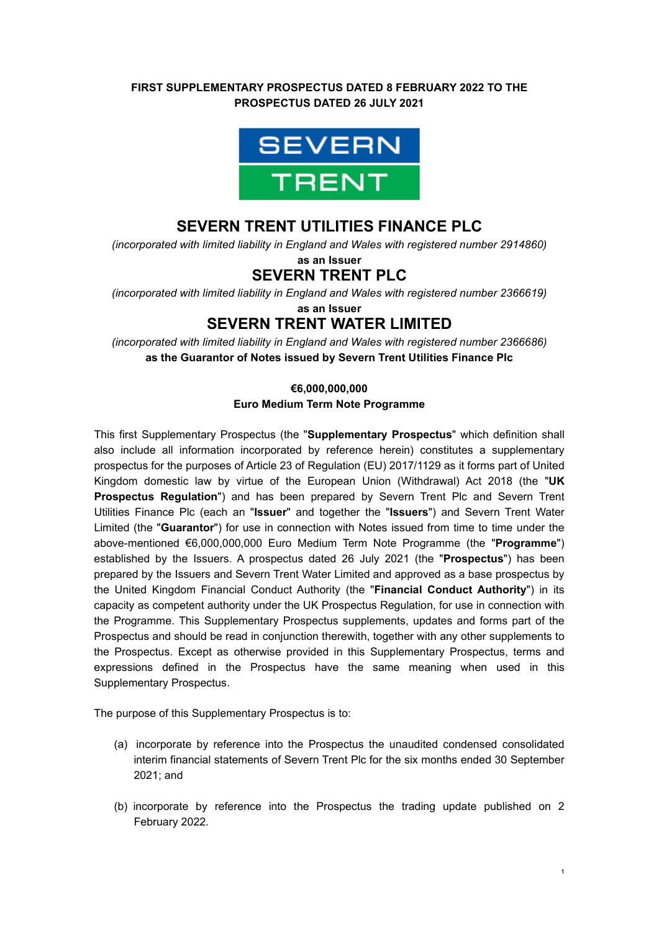### **FIRST SUPPLEMENTARY PROSPECTUS DATED 8 FEBRUARY 2022 TO THE PROSPECTUS DATED 26 JULY 2021**



### **SEVERN TRENT UTILITIES FINANCE PLC**

*(incorporated with limited liability in England and Wales with registered number 2914860)*  **as an Issuer**

# **SEVERN TRENT PLC**

*(incorporated with limited liability in England and Wales with registered number 2366619)*

**as an Issuer**

# **SEVERN TRENT WATER LIMITED**

*(incorporated with limited liability in England and Wales with registered number 2366686)*  **as the Guarantor of Notes issued by Severn Trent Utilities Finance Plc**

### **€6,000,000,000 Euro Medium Term Note Programme**

This first Supplementary Prospectus (the "**Supplementary Prospectus**" which definition shall also include all information incorporated by reference herein) constitutes a supplementary prospectus for the purposes of Article 23 of Regulation (EU) 2017/1129 as it forms part of United Kingdom domestic law by virtue of the European Union (Withdrawal) Act 2018 (the "**UK Prospectus Regulation**") and has been prepared by Severn Trent Plc and Severn Trent Utilities Finance Plc (each an "**Issuer**" and together the "**Issuers**") and Severn Trent Water Limited (the "**Guarantor**") for use in connection with Notes issued from time to time under the above-mentioned €6,000,000,000 Euro Medium Term Note Programme (the "**Programme**") established by the Issuers. A prospectus dated 26 July 2021 (the "**Prospectus**") has been prepared by the Issuers and Severn Trent Water Limited and approved as a base prospectus by the United Kingdom Financial Conduct Authority (the "**Financial Conduct Authority**") in its capacity as competent authority under the UK Prospectus Regulation, for use in connection with the Programme. This Supplementary Prospectus supplements, updates and forms part of the Prospectus and should be read in conjunction therewith, together with any other supplements to the Prospectus. Except as otherwise provided in this Supplementary Prospectus, terms and expressions defined in the Prospectus have the same meaning when used in this Supplementary Prospectus.

The purpose of this Supplementary Prospectus is to:

- (a) incorporate by reference into the Prospectus the unaudited condensed consolidated interim financial statements of Severn Trent Plc for the six months ended 30 September 2021; and
- (b) incorporate by reference into the Prospectus the trading update published on 2 February 2022.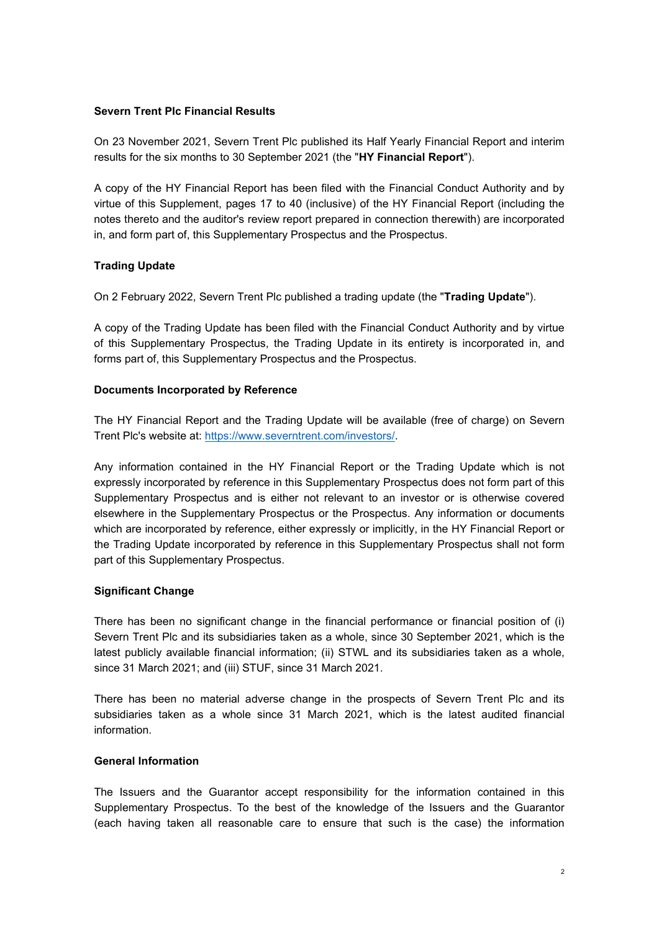#### **Severn Trent Plc Financial Results**

On 23 November 2021, Severn Trent Plc published its Half Yearly Financial Report and interim results for the six months to 30 September 2021 (the "**HY Financial Report**").

A copy of the HY Financial Report has been filed with the Financial Conduct Authority and by virtue of this Supplement, pages 17 to 40 (inclusive) of the HY Financial Report (including the notes thereto and the auditor's review report prepared in connection therewith) are incorporated in, and form part of, this Supplementary Prospectus and the Prospectus.

#### **Trading Update**

On 2 February 2022, Severn Trent Plc published a trading update (the "**Trading Update**").

A copy of the Trading Update has been filed with the Financial Conduct Authority and by virtue of this Supplementary Prospectus, the Trading Update in its entirety is incorporated in, and forms part of, this Supplementary Prospectus and the Prospectus.

#### **Documents Incorporated by Reference**

The HY Financial Report and the Trading Update will be available (free of charge) on Severn Trent Plc's website at: [https://www.severntrent.com/investors/.](https://www.severntrent.com/investors/)

Any information contained in the HY Financial Report or the Trading Update which is not expressly incorporated by reference in this Supplementary Prospectus does not form part of this Supplementary Prospectus and is either not relevant to an investor or is otherwise covered elsewhere in the Supplementary Prospectus or the Prospectus. Any information or documents which are incorporated by reference, either expressly or implicitly, in the HY Financial Report or the Trading Update incorporated by reference in this Supplementary Prospectus shall not form part of this Supplementary Prospectus.

#### **Significant Change**

There has been no significant change in the financial performance or financial position of (i) Severn Trent Plc and its subsidiaries taken as a whole, since 30 September 2021, which is the latest publicly available financial information; (ii) STWL and its subsidiaries taken as a whole, since 31 March 2021; and (iii) STUF, since 31 March 2021.

There has been no material adverse change in the prospects of Severn Trent Plc and its subsidiaries taken as a whole since 31 March 2021, which is the latest audited financial information.

#### **General Information**

The Issuers and the Guarantor accept responsibility for the information contained in this Supplementary Prospectus. To the best of the knowledge of the Issuers and the Guarantor (each having taken all reasonable care to ensure that such is the case) the information